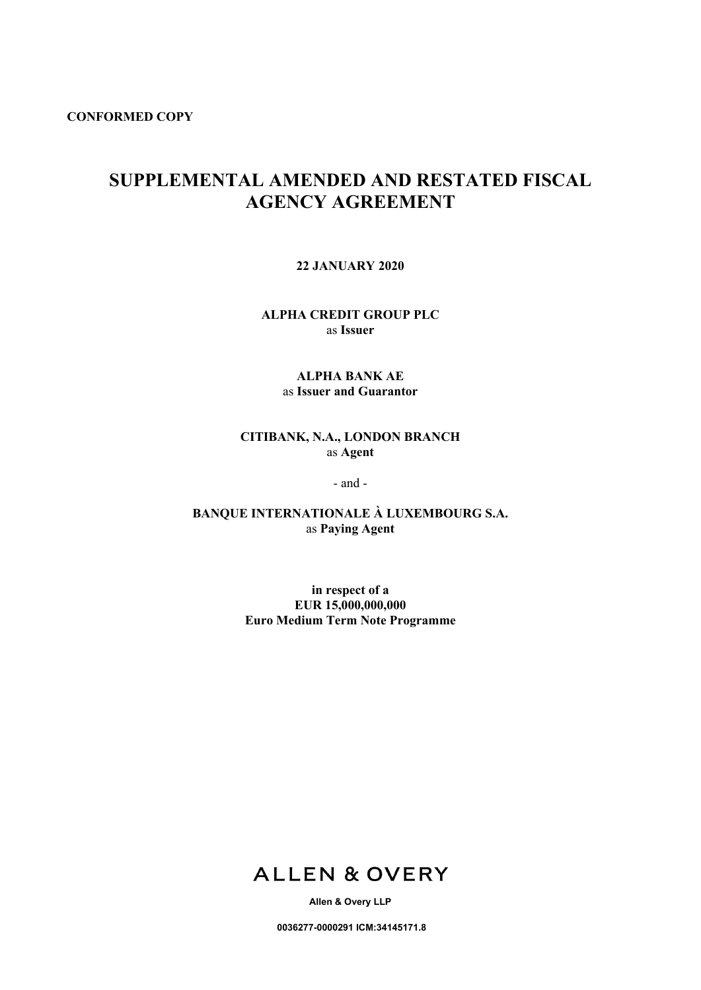**CONFORMED COPY**

# **SUPPLEMENTAL AMENDED AND RESTATED FISCAL AGENCY AGREEMENT**

**22 JANUARY 2020**

**ALPHA CREDIT GROUP PLC** as **Issuer**

## **ALPHA BANK AE** as **Issuer and Guarantor**

## **CITIBANK, N.A., LONDON BRANCH** as **Agent**

- and -

**BANQUE INTERNATIONALE À LUXEMBOURG S.A.** as **Paying Agent**

> **in respect of a EUR 15,000,000,000 Euro Medium Term Note Programme**



**Allen & Overy LLP**

**0036277-0000291 ICM:34145171.8**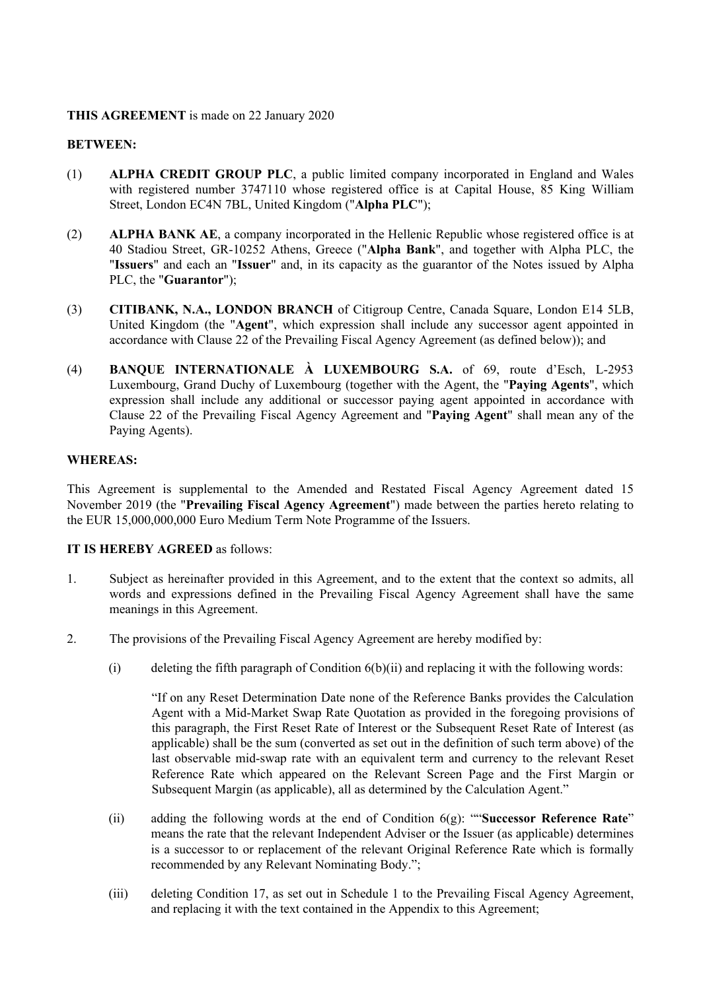#### **THIS AGREEMENT** is made on 22 January 2020

#### **BETWEEN:**

- (1) **ALPHA CREDIT GROUP PLC**, a public limited company incorporated in England and Wales with registered number 3747110 whose registered office is at Capital House, 85 King William Street, London EC4N 7BL, United Kingdom ("**Alpha PLC**");
- (2) **ALPHA BANK AE**, a company incorporated in the Hellenic Republic whose registered office is at 40 Stadiou Street, GR-10252 Athens, Greece ("**Alpha Bank**", and together with Alpha PLC, the "**Issuers**" and each an "**Issuer**" and, in its capacity as the guarantor of the Notes issued by Alpha PLC, the "**Guarantor**");
- (3) **CITIBANK, N.A., LONDON BRANCH** of Citigroup Centre, Canada Square, London E14 5LB, United Kingdom (the "**Agent**", which expression shall include any successor agent appointed in accordance with Clause 22 of the Prevailing Fiscal Agency Agreement (as defined below)); and
- (4) **BANQUE INTERNATIONALE À LUXEMBOURG S.A.** of 69, route d'Esch, L-2953 Luxembourg, Grand Duchy of Luxembourg (together with the Agent, the "**Paying Agents**", which expression shall include any additional or successor paying agent appointed in accordance with Clause 22 of the Prevailing Fiscal Agency Agreement and "**Paying Agent**" shall mean any of the Paying Agents).

#### **WHEREAS:**

This Agreement is supplemental to the Amended and Restated Fiscal Agency Agreement dated 15 November 2019 (the "**Prevailing Fiscal Agency Agreement**") made between the parties hereto relating to the EUR 15,000,000,000 Euro Medium Term Note Programme of the Issuers.

#### **IT IS HEREBY AGREED** as follows:

- 1. Subject as hereinafter provided in this Agreement, and to the extent that the context so admits, all words and expressions defined in the Prevailing Fiscal Agency Agreement shall have the same meanings in this Agreement.
- 2. The provisions of the Prevailing Fiscal Agency Agreement are hereby modified by:
	- (i) deleting the fifth paragraph of Condition 6(b)(ii) and replacing it with the following words:

"If on any Reset Determination Date none of the Reference Banks provides the Calculation Agent with a Mid-Market Swap Rate Quotation as provided in the foregoing provisions of this paragraph, the First Reset Rate of Interest or the Subsequent Reset Rate of Interest (as applicable) shall be the sum (converted as set out in the definition of such term above) of the last observable mid-swap rate with an equivalent term and currency to the relevant Reset Reference Rate which appeared on the Relevant Screen Page and the First Margin or Subsequent Margin (as applicable), all as determined by the Calculation Agent."

- (ii) adding the following words at the end of Condition 6(g): ""**Successor Reference Rate**" means the rate that the relevant Independent Adviser or the Issuer (as applicable) determines is a successor to or replacement of the relevant Original Reference Rate which is formally recommended by any Relevant Nominating Body.";
- (iii) deleting Condition 17, as set out in Schedule 1 to the Prevailing Fiscal Agency Agreement, and replacing it with the text contained in the Appendix to this Agreement;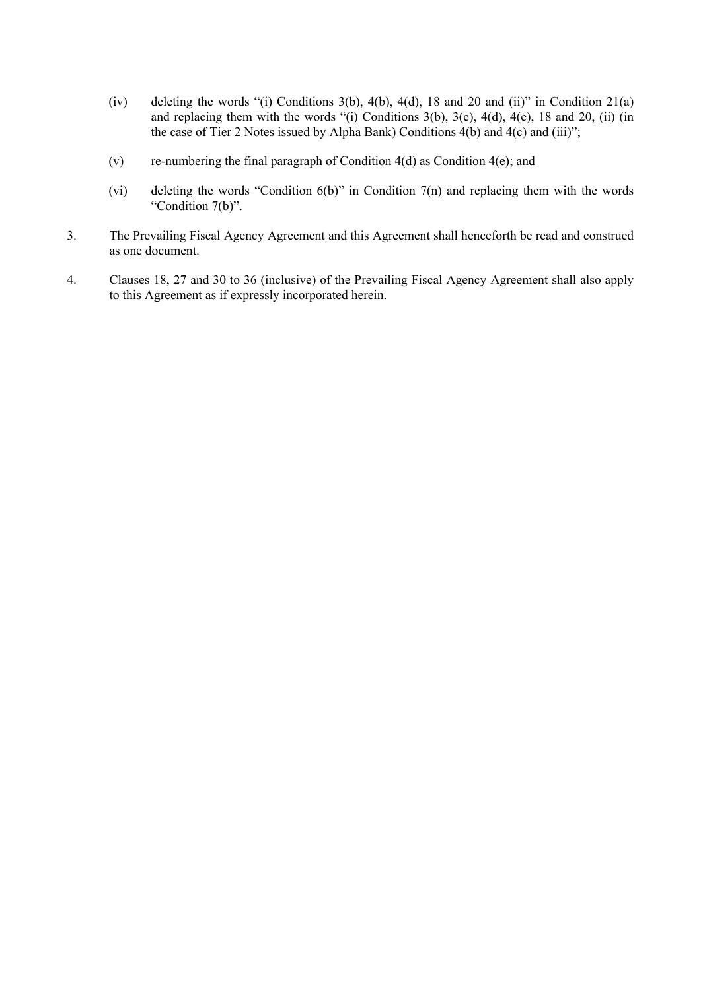- (iv) deleting the words "(i) Conditions 3(b), 4(b), 4(d), 18 and 20 and (ii)" in Condition 21(a) and replacing them with the words "(i) Conditions  $3(b)$ ,  $3(c)$ ,  $4(d)$ ,  $4(e)$ , 18 and 20, (ii) (in the case of Tier 2 Notes issued by Alpha Bank) Conditions 4(b) and 4(c) and (iii)";
- (v) re-numbering the final paragraph of Condition 4(d) as Condition 4(e); and
- (vi) deleting the words "Condition 6(b)" in Condition 7(n) and replacing them with the words "Condition 7(b)".
- 3. The Prevailing Fiscal Agency Agreement and this Agreement shall henceforth be read and construed as one document.
- 4. Clauses 18, 27 and 30 to 36 (inclusive) of the Prevailing Fiscal Agency Agreement shall also apply to this Agreement as if expressly incorporated herein.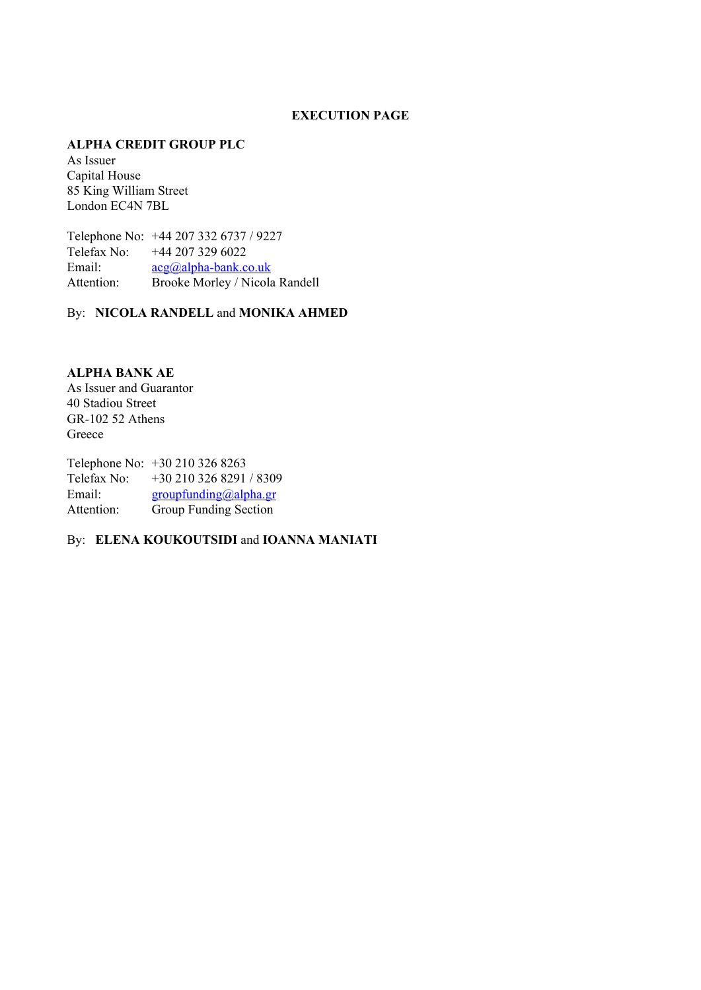#### **EXECUTION PAGE**

#### **ALPHA CREDIT GROUP PLC**

As Issuer Capital House 85 King William Street London EC4N 7BL

Telephone No: +44 207 332 6737 / 9227 Telefax No: +44 207 329 6022 Email:  $acg(\partial_\theta a|pha-bank.co.uk)$ Attention: Brooke Morley / Nicola Randell

By: **NICOLA RANDELL** and **MONIKA AHMED**

**ALPHA BANK AE** As Issuer and Guarantor 40 Stadiou Street GR-102 52 Athens Greece

Telephone No: +30 210 326 8263 Telefax No: +30 210 326 8291 / 8309 Email: [groupfunding@alpha.gr](mailto:groupfunding@alpha.gr) Attention: Group Funding Section

By: **ELENA KOUKOUTSIDI** and **IOANNA MANIATI**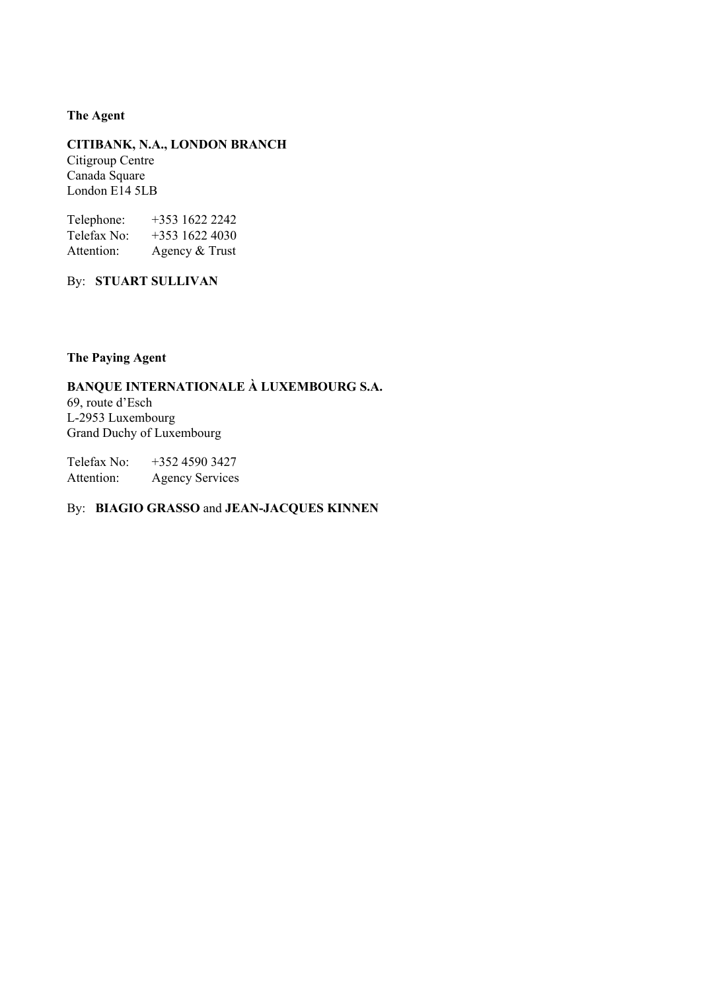#### **The Agent**

**CITIBANK, N.A., LONDON BRANCH** Citigroup Centre Canada Square London E14 5LB

Telephone: +353 1622 2242 Telefax No: +353 1622 4030 Attention: Agency & Trust

By: **STUART SULLIVAN**

## **The Paying Agent**

# **BANQUE INTERNATIONALE À LUXEMBOURG S.A.**

69, route d'Esch L-2953 Luxembourg Grand Duchy of Luxembourg

Telefax No: +352 4590 3427 Attention: Agency Services

## By: **BIAGIO GRASSO** and **JEAN-JACQUES KINNEN**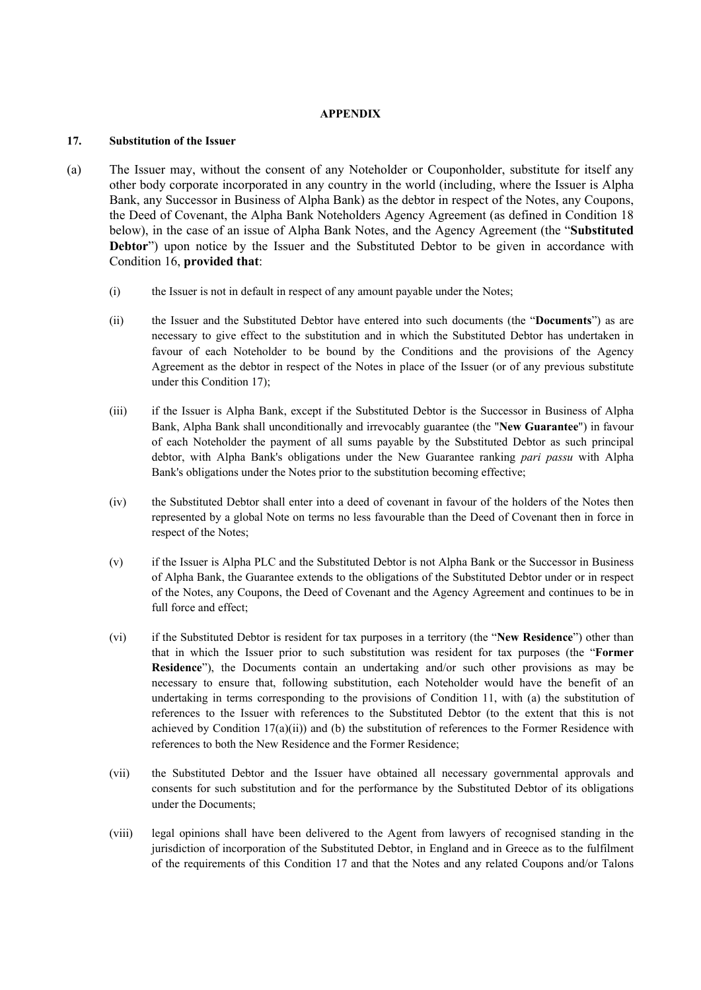#### **APPENDIX**

#### **17. Substitution of the Issuer**

- (a) The Issuer may, without the consent of any Noteholder or Couponholder, substitute for itself any other body corporate incorporated in any country in the world (including, where the Issuer is Alpha Bank, any Successor in Business of Alpha Bank) as the debtor in respect of the Notes, any Coupons, the Deed of Covenant, the Alpha Bank Noteholders Agency Agreement (as defined in Condition 18 below), in the case of an issue of Alpha Bank Notes, and the Agency Agreement (the "**Substituted Debtor**") upon notice by the Issuer and the Substituted Debtor to be given in accordance with Condition 16, **provided that**:
	- (i) the Issuer is not in default in respect of any amount payable under the Notes;
	- (ii) the Issuer and the Substituted Debtor have entered into such documents (the "**Documents**") as are necessary to give effect to the substitution and in which the Substituted Debtor has undertaken in favour of each Noteholder to be bound by the Conditions and the provisions of the Agency Agreement as the debtor in respect of the Notes in place of the Issuer (or of any previous substitute under this Condition 17);
	- (iii) if the Issuer is Alpha Bank, except if the Substituted Debtor is the Successor in Business of Alpha Bank, Alpha Bank shall unconditionally and irrevocably guarantee (the "**New Guarantee**") in favour of each Noteholder the payment of all sums payable by the Substituted Debtor as such principal debtor, with Alpha Bank's obligations under the New Guarantee ranking *pari passu* with Alpha Bank's obligations under the Notes prior to the substitution becoming effective;
	- (iv) the Substituted Debtor shall enter into a deed of covenant in favour of the holders of the Notes then represented by a global Note on terms no less favourable than the Deed of Covenant then in force in respect of the Notes;
	- (v) if the Issuer is Alpha PLC and the Substituted Debtor is not Alpha Bank or the Successor in Business of Alpha Bank, the Guarantee extends to the obligations of the Substituted Debtor under or in respect of the Notes, any Coupons, the Deed of Covenant and the Agency Agreement and continues to be in full force and effect;
	- (vi) if the Substituted Debtor is resident for tax purposes in a territory (the "**New Residence**") other than that in which the Issuer prior to such substitution was resident for tax purposes (the "**Former Residence**"), the Documents contain an undertaking and/or such other provisions as may be necessary to ensure that, following substitution, each Noteholder would have the benefit of an undertaking in terms corresponding to the provisions of Condition 11, with (a) the substitution of references to the Issuer with references to the Substituted Debtor (to the extent that this is not achieved by Condition  $17(a)(ii)$  and (b) the substitution of references to the Former Residence with references to both the New Residence and the Former Residence;
	- (vii) the Substituted Debtor and the Issuer have obtained all necessary governmental approvals and consents for such substitution and for the performance by the Substituted Debtor of its obligations under the Documents;
	- (viii) legal opinions shall have been delivered to the Agent from lawyers of recognised standing in the jurisdiction of incorporation of the Substituted Debtor, in England and in Greece as to the fulfilment of the requirements of this Condition 17 and that the Notes and any related Coupons and/or Talons